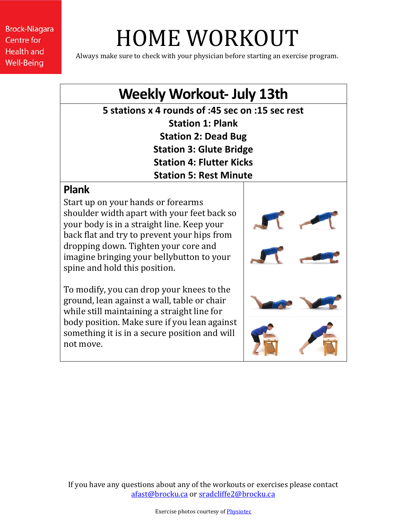# HOME WORKOUT

Always make sure to check with your physician before starting an exercise program.

## **Weekly Workout- July 13th**

**5 stations x 4 rounds of :45 sec on :15 sec rest Station 1: Plank Station 2: Dead Bug Station 3: Glute Bridge Station 4: Flutter Kicks Station 5: Rest Minute**

#### **Plank**

Start up on your hands or forearms shoulder width apart with your feet back so your body is in a straight line. Keep your back flat and try to prevent your hips from dropping down. Tighten your core and imagine bringing your bellybutton to your spine and hold this position.

To modify, you can drop your knees to the ground, lean against a wall, table or chair while still maintaining a straight line for body position. Make sure if you lean against something it is in a secure position and will not move.



If you have any questions about any of the workouts or exercises please contact [afast@brocku.ca](mailto:afast@brocku.ca) or [sradcliffe2@brocku.ca](mailto:sradcliffe2@brocku.ca)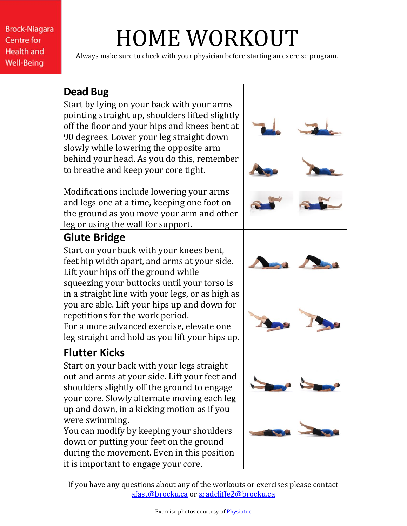# HOME WORKOUT

Always make sure to check with your physician before starting an exercise program.

#### **Dead Bug**

Start by lying on your back with your arms pointing straight up, shoulders lifted slightly off the floor and your hips and knees bent at 90 degrees. Lower your leg straight down slowly while lowering the opposite arm behind your head. As you do this, remember to breathe and keep your core tight.

Modifications include lowering your arms and legs one at a time, keeping one foot on the ground as you move your arm and other leg or using the wall for support.

### **Glute Bridge**

Start on your back with your knees bent, feet hip width apart, and arms at your side. Lift your hips off the ground while squeezing your buttocks until your torso is in a straight line with your legs, or as high as you are able. Lift your hips up and down for repetitions for the work period. For a more advanced exercise, elevate one leg straight and hold as you lift your hips up.

## **Flutter Kicks**

Start on your back with your legs straight out and arms at your side. Lift your feet and shoulders slightly off the ground to engage your core. Slowly alternate moving each leg up and down, in a kicking motion as if you were swimming.

You can modify by keeping your shoulders down or putting your feet on the ground during the movement. Even in this position it is important to engage your core.



If you have any questions about any of the workouts or exercises please contact [afast@brocku.ca](mailto:afast@brocku.ca) or [sradcliffe2@brocku.ca](mailto:sradcliffe2@brocku.ca)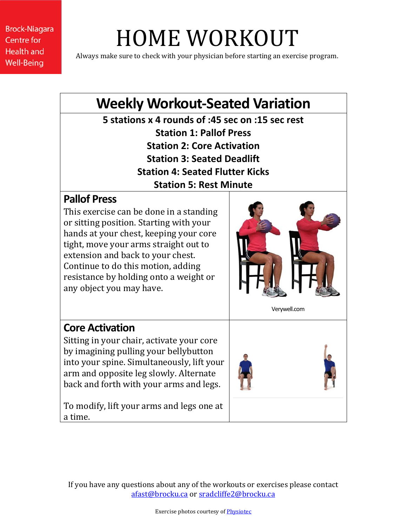# HOME WORKOUT

Always make sure to check with your physician before starting an exercise program.

# **Weekly Workout-Seated Variation**

**5 stations x 4 rounds of :45 sec on :15 sec rest Station 1: Pallof Press Station 2: Core Activation Station 3: Seated Deadlift Station 4: Seated Flutter Kicks Station 5: Rest Minute**

#### **Pallof Press**

This exercise can be done in a standing or sitting position. Starting with your hands at your chest, keeping your core tight, move your arms straight out to extension and back to your chest. Continue to do this motion, adding resistance by holding onto a weight or any object you may have.



Verywell.com

#### **Core Activation**

Sitting in your chair, activate your core by imagining pulling your bellybutton into your spine. Simultaneously, lift your arm and opposite leg slowly. Alternate back and forth with your arms and legs.

To modify, lift your arms and legs one at a time.



If you have any questions about any of the workouts or exercises please contact [afast@brocku.ca](mailto:afast@brocku.ca) or [sradcliffe2@brocku.ca](mailto:sradcliffe2@brocku.ca)